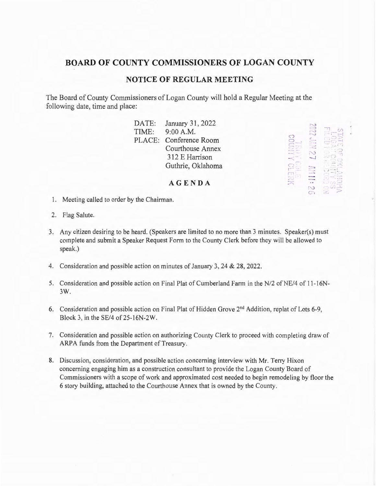## **BOARD OF COUNTY COMMISSIONERS OF LOGAN COUNTY**

## **NOTICE OF REGULAR MEETING**

The Board of County Commissioners of Logan County will hold a Regular Meeting at the following date, time and place:

|       | DATE: January 31, 2022 | r J | <b>Market and Party</b> |
|-------|------------------------|-----|-------------------------|
| TIME: | 9:00 A.M.              | Z   | <b>RESIDENCE</b>        |
|       | PLACE: Conference Room | S   |                         |
|       | Courthouse Annex       |     |                         |
|       | 312 E Harrison         | N   |                         |
|       | Guthrie, Oklahoma      |     |                         |
|       |                        |     |                         |

**AGENDA** 

**XCLERK** 

- 1. Meeting called to order by the Chairman.
- 2. Flag Salute.
- 3. Any citizen desiring to be heard. (Speakers are limited to no more than 3 minutes. Speaker(s) must complete and submit a Speaker Request Form to the County Clerk before they will be allowed to speak.)
- 4. Consideration and possible action on minutes of January 3, 24 & 28, 2022.
- 5. Consideration and possible action on Final Plat of Cumberland Farm in the N/2 of NE/4 of 11-16N-3 W.
- 6. Consideration and possible action on Final Plat of Hidden Grove 2<sup>nd</sup> Addition, replat of Lots 6-9, Block 3, in the SE/4 of 25-16N-2W.
- 7. Consideration and possible action on authorizing County Clerk to proceed with completing draw of ARPA funds from the Department of Treasury.
- 8. Discussion, consideration, and possible action concerning interview with Mr. Terry Hixon concerning engaging him as a construction consultant to provide the Logan County Board of Commissioners with a scope of work and approximated cost needed to begin remodeling by floor the 6 story building, attached to the Courthouse Annex that is owned by the County.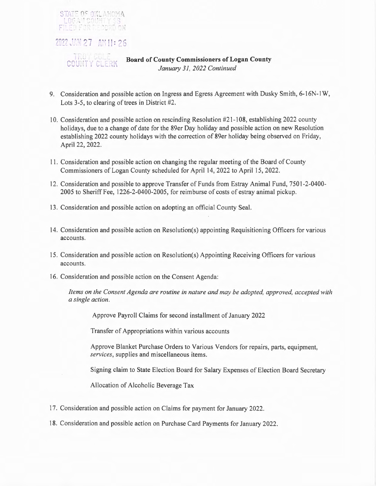

- 9. Consideration and possible action on Ingress and Egress Agreement with Dusky Smith, 6-16N-1W, Lots 3-5, to clearing of trees in District #2.
- 10. Consideration and possible action on rescinding Resolution #21-108, establishing 2022 county holidays, due to a change of date for the 89er Day holiday and possible action on new Resolution establishing 2022 county holidays with the correction of 89er holiday being observed on Friday, April 22, 2022.
- 11. Consideration and possible action on changing the regular meeting of the Board of County Commissioners of Logan County scheduled for April 14, 2022 to April 15, 2022.
- 12. Consideration and possible to approve Transfer of Funds from Estray Animal Fund, 7501-2-0400- 2005 to Sheriff Fee, l 226-2-0400-2005, for reimburse of costs of estray animal pickup.
- 13 . Consideration and possible action on adopting an official County Seal.
- 14. Consideration and possible action on Resolution(s) appointing Requisitioning Officers for various accounts.
- 15 . Consideration and possible action on Resolution(s) Appointing Receiving Officers for various accounts.
- 16. Consideration and possible action on the Consent Agenda:

*Items on the Consent Agenda are routine in nature and may be adopted, approved, accepted with a single action.* 

Approve Payroll Claims for second installment of January 2022

Transfer of Appropriations within various accounts

Approve Blanket Purchase Orders to Various Vendors for repairs, parts, equipment, *services,* supplies and miscellaneous items.

Signing claim to State Election Board for Salary Expenses of Election Board Secretary

Allocation of Alcoholic Beverage Tax

- 17. Consideration and possible action on Claims for payment for January 2022.
- 18. Consideration and possible action on Purchase Card Payments for January 2022.